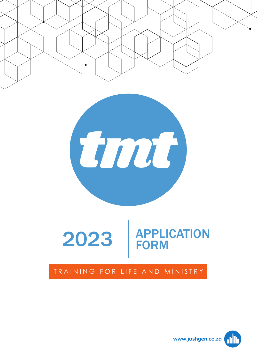



# 2023 **APPLICATION** FORM

### TRAINING FOR LIFE AND MINISTRY

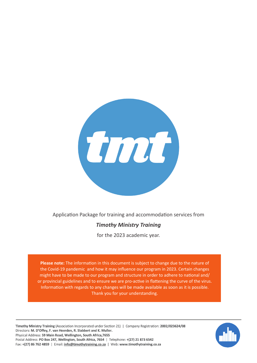

Application Package for training and accommodation services from

### *Timothy Ministry Training*

for the 2023 academic year.

**Please note:** The information in this document is subject to change due to the nature of the Covid-19 pandemic and how it may influence our program in 2023. Certain changes might have to be made to our program and structure in order to adhere to national and/ or provincial guidelines and to ensure we are pro-active in flattening the curve of the virus. Information with regards to any changes will be made available as soon as it is possible. Thank you for your understanding.

Timothy Ministry Training (Association Incorporated under Section 21) | Company Registration: 2002/023624/08 Directors: M. D'Offey, F. van Heerden, R. Slabbert and K. Muller. Physical Address: 59 Main Road, Wellington, South Africa, 7655 Postal Address: PO Box 247, Wellington, South Africa, 7654 | Telephone: +(27) 21 873 6542 Fax: +(27) 86 762 4859 | Email: info@timothytraining.co.za | Web: www.timothytraining.co.za

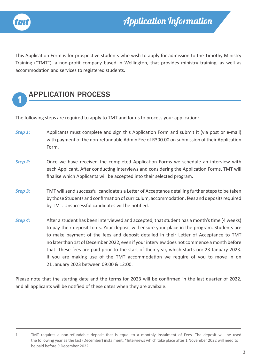

This Application Form is for prospective students who wish to apply for admission to the Timothy Ministry Training ("TMT"), a non-profit company based in Wellington, that provides ministry training, as well as accommodation and services to registered students.



### **1** APPLICATION PROCESS

The following steps are required to apply to TMT and for us to process your application:

- **Step 1:** Applicants must complete and sign this Application Form and submit it (via post or e-mail) with payment of the non-refundable Admin Fee of R300.00 on submission of their Application Form.
- **Step 2:** Once we have received the completed Application Forms we schedule an interview with each Applicant. After conducting interviews and considering the Application Forms, TMT will finalise which Applicants will be accepted into their selected program.
- **Step 3:** TMT will send successful candidate's a Letter of Acceptance detailing further steps to be taken by those Students and confirmation of curriculum, accommodation, fees and deposits required by TMT. Unsuccessful candidates will be notified.
- *Step 4:* After a student has been interviewed and accepted, that student has a month's time (4 weeks) to pay their deposit to us. Your deposit will ensure your place in the program. Students are to make payment of the fees and deposit detailed in their Letter of Acceptance to TMT no later than 1st of December 2022, even if your interview does not commence a month before that. These fees are paid prior to the start of their year, which starts on: 23 January 2023. If you are making use of the TMT accommodation we require of you to move in on 21 January 2023 between 09:00 & 12:00.

Please note that the starting date and the terms for 2023 will be confirmed in the last quarter of 2022, and all applicants will be notified of these dates when they are avaibale.

<sup>1</sup> TMT requires a non-refundable deposit that is equal to a monthly instalment of Fees. The deposit will be used the following year as the last (December) instalment. \*Interviews which take place after 1 November 2022 will need to be paid before 9 December 2022.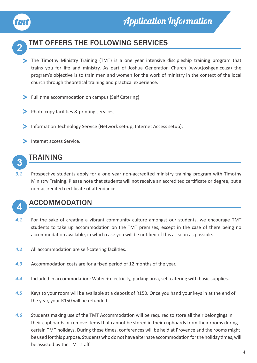



### **2** TMT OFFERS THE FOLLOWING SERVICES

- > The Timothy Ministry Training (TMT) is a one year intensive discipleship training program that trains you for life and ministry. As part of Joshua Generation Church (www.joshgen.co.za) the program's objective is to train men and women for the work of ministry in the context of the local church through theoretical training and practical experience.
- > Full time accommodation on campus (Self Catering)
- > Photo copy facilities & printing services;
- Information Technology Service (Network set-up; Internet Access setup); >
- Internet access Service. >



### **3** TRAINING

*3.1* Prospective students apply for a one year non-accredited ministry training program with Timothy Ministry Training. Please note that students will not receive an accredited certificate or degree, but a non-accredited certificate of attendance.



### **4** ACCOMMODATION

- *4.1* For the sake of creating a vibrant community culture amongst our students, we encourage TMT students to take up accommodation on the TMT premises, except in the case of there being no accommodation available, in which case you will be notified of this as soon as possible.
- *4.2* All accommodation are self-catering facilities.
- *4.3* Accommodation costs are for a fixed period of 12 months of the year.
- *4.4* Included in accommodation: Water + electricity, parking area, self-catering with basic supplies.
- *4.5* Keys to your room will be available at a deposit of R150. Once you hand your keys in at the end of the year, your R150 will be refunded.
- *4.6* Students making use of the TMT Accommodation will be required to store all their belongings in their cupboards or remove items that cannot be stored in their cupboards from their rooms during certain TMT holidays. During these times, conferences will be held at Provence and the rooms might be used for this purpose. Students who do not have alternate accommodation for the holiday times, will be assisted by the TMT staff.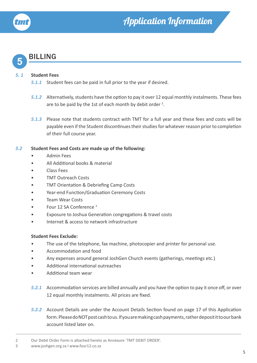

### **5** BILLING

#### *5. 1* **Student Fees**

- *5.1.1* Student fees can be paid in full prior to the year if desired.
- *5.1.2* Alternatively, students have the option to pay it over 12 equal monthly instalments. These fees are to be paid by the 1st of each month by debit order  $2$ .
- *5.1.3* Please note that students contract with TMT for a full year and these fees and costs will be payable even if the Student discontinues their studies for whatever reason prior to completion of their full course year.

### *5.2* **Student Fees and Costs are made up of the following:**

- Admin Fees
- All Additional books & material
- Class Fees
- TMT Outreach Costs
- TMT Orientation & Debriefing Camp Costs
- Year-end Function/Graduation Ceremony Costs
- Team Wear Costs
- Four 12 SA Conference 3
- Exposure to Joshua Generation congregations & travel costs
- Internet & access to network infrastructure

#### **Student Fees Exclude:**

- The use of the telephone, fax machine, photocopier and printer for personal use.
- Accommodation and food
- Any expenses around general JoshGen Church events (gatherings, meetings etc.)
- Additional international outreaches
- Additional team wear
- *5.2.1* Accommodation services are billed annually and you have the option to pay it once off, or over 12 equal monthly instalments. All prices are fixed.
- *5.2.2* Account Details are under the Account Details Section found on page 17 of this Application form. Please do NOT post cash to us. If you are making cash payments, rather deposit it to our bank account listed later on.

<sup>2</sup> Our Debit Order Form is attached hereto as Annexure 'TMT DEBIT ORDER'.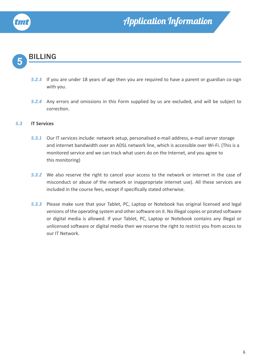

### **5** BILLING

- *5.2.3* If you are under 18 years of age then you are required to have a parent or guardian co-sign with you.
- *5.2.4* Any errors and omissions in this Form supplied by us are excluded, and will be subject to correction.

#### *5.3* **IT Services**

- *5.3.1* Our IT services include: network setup, personalised e-mail address, e-mail server storage and internet bandwidth over an ADSL network line, which is accessible over Wi-Fi. (This is a monitored service and we can track what users do on the Internet, and you agree to this monitoring)
- *5.3.2* We also reserve the right to cancel your access to the network or internet in the case of misconduct or abuse of the network or inappropriate internet use). All these services are included in the course fees, except if specifically stated otherwise.
- *5.3.3* Please make sure that your Tablet, PC, Laptop or Notebook has original licensed and legal versions of the operating system and other software on it. No illegal copies or pirated software or digital media is allowed. If your Tablet, PC, Laptop or Notebook contains any illegal or unlicensed software or digital media then we reserve the right to restrict you from access to our IT Network.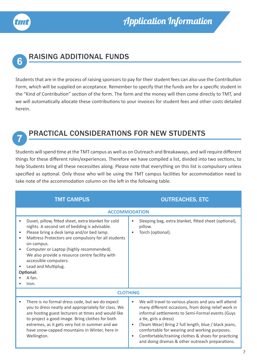



## **6** RAISING ADDITIONAL FUNDS

Students that are in the process of raising sponsors to pay for their student fees can also use the Contribution Form, which will be supplied on acceptance. Remember to specify that the funds are for a specific student in the "Kind of Contribution" section of the form. The form and the money will then come directly to TMT, and we will automatically allocate these contributions to your invoices for student fees and other costs detailed herein.

### **7** PRACTICAL CONSIDERATIONS FOR NEW STUDENTS

Students will spend time at the TMT campus as well as on Outreach and Breakaways, and will require different things for these different roles/experiences. Therefore we have compiled a list, divided into two sections, to help Students bring all these necessities along. Please note that everything on this list is compulsory unless specified as optional. Only those who will be using the TMT campus facilities for accommodation need to take note of the accommodation column on the left in the following table.

| <b>TMT CAMPUS</b>                                                                                                                                                                                                                                                                                                                                                                                     | <b>OUTREACHES, ETC</b>                                                                                                                                                                                                                                                                                                                                                                                                                             |
|-------------------------------------------------------------------------------------------------------------------------------------------------------------------------------------------------------------------------------------------------------------------------------------------------------------------------------------------------------------------------------------------------------|----------------------------------------------------------------------------------------------------------------------------------------------------------------------------------------------------------------------------------------------------------------------------------------------------------------------------------------------------------------------------------------------------------------------------------------------------|
|                                                                                                                                                                                                                                                                                                                                                                                                       | <b>ACCOMMODATION</b>                                                                                                                                                                                                                                                                                                                                                                                                                               |
| Duvet, pillow, fitted sheet, extra blanket for cold<br>nights. A second set of bedding is advisable.<br>Please bring a desk lamp and/or bed lamp.<br>Mattress Protectors are compulsory for all students<br>on campus.<br>Computer or Laptop (highly recommended).<br>We also provide a resource centre facility with<br>accessible computers.<br>Lead and Multiplug.<br>Optional:<br>A fan.<br>Iron. | Sleeping bag, extra blanket, fitted sheet (optional),<br>$\bullet$<br>pillow.<br>Torch (optional).<br>$\bullet$                                                                                                                                                                                                                                                                                                                                    |
|                                                                                                                                                                                                                                                                                                                                                                                                       | <b>CLOTHING</b>                                                                                                                                                                                                                                                                                                                                                                                                                                    |
| There is no formal dress code, but we do expect<br>you to dress neatly and appropriately for class. We<br>are hosting guest lecturers at times and would like<br>to project a good image. Bring clothes for both<br>extremes, as it gets very hot in summer and we<br>have snow-capped mountains in Winter, here in<br>Wellington.                                                                    | We will travel to various places and you will attend<br>$\bullet$<br>many different occasions, from doing relief work in<br>informal settlements to Semi-Formal events (Guys<br>a tie, girls a dress)<br>(Team Wear) Bring 2 full length, blue / black jeans,<br>$\bullet$<br>comfortable for wearing and working purposes.<br>Comfortable/training clothes & shoes for practicing<br>$\bullet$<br>and doing dramas & other outreach preparations. |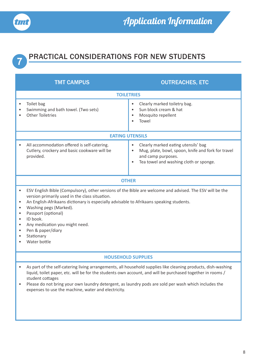



# **7** PRACTICAL CONSIDERATIONS FOR NEW STUDENTS

|                             | <b>TMT CAMPUS</b>                                                                                                                                                                                                                                                                                                                                                                                       | <b>OUTREACHES, ETC</b>                                                                                                                                                                           |
|-----------------------------|---------------------------------------------------------------------------------------------------------------------------------------------------------------------------------------------------------------------------------------------------------------------------------------------------------------------------------------------------------------------------------------------------------|--------------------------------------------------------------------------------------------------------------------------------------------------------------------------------------------------|
|                             | <b>TOILETRIES</b>                                                                                                                                                                                                                                                                                                                                                                                       |                                                                                                                                                                                                  |
| $\bullet$                   | Toilet bag<br>Swimming and bath towel. (Two sets)<br><b>Other Toiletries</b>                                                                                                                                                                                                                                                                                                                            | Clearly marked toiletry bag.<br>$\bullet$<br>Sun block cream & hat<br>$\bullet$<br>Mosquito repellent<br>$\bullet$<br>Towel                                                                      |
|                             | <b>EATING UTENSILS</b>                                                                                                                                                                                                                                                                                                                                                                                  |                                                                                                                                                                                                  |
|                             | All accommodation offered is self-catering.<br>Cutlery, crockery and basic cookware will be<br>provided.                                                                                                                                                                                                                                                                                                | Clearly marked eating utensils' bag<br>$\bullet$<br>Mug, plate, bowl, spoon, knife and fork for travel<br>$\bullet$<br>and camp purposes.<br>Tea towel and washing cloth or sponge.<br>$\bullet$ |
|                             | <b>OTHER</b>                                                                                                                                                                                                                                                                                                                                                                                            |                                                                                                                                                                                                  |
| ٠<br>$\bullet$<br>$\bullet$ | ESV English Bible (Compulsory), other versions of the Bible are welcome and advised. The ESV will be the<br>version primarily used in the class situation.<br>An English-Afrikaans dictionary is especially advisable to Afrikaans speaking students.<br>Washing pegs (Marked).<br>Passport (optional)<br>ID book.<br>Any medication you might need.<br>Pen & paper/diary<br>Stationary<br>Water bottle |                                                                                                                                                                                                  |
|                             | <b>HOUSEHOLD SUPPLIES</b>                                                                                                                                                                                                                                                                                                                                                                               |                                                                                                                                                                                                  |
| ٠                           | liquid, toilet paper, etc. will be for the students own account, and will be purchased together in rooms /<br>student cottages<br>Please do not bring your own laundry detergent, as laundry pods are sold per wash which includes the<br>expenses to use the machine, water and electricity.                                                                                                           | As part of the self-catering living arrangements, all household supplies like cleaning products, dish-washing                                                                                    |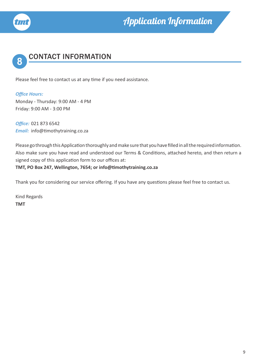



Please feel free to contact us at any time if you need assistance.

*Office Hours:* Monday - Thursday: 9:00 AM - 4 PM Friday: 9:00 AM - 3:00 PM

*Office:* 021 873 6542 *Email:* info@timothytraining.co.za

Please go through this Application thoroughly and make sure that you have filled in all the required information. Also make sure you have read and understood our Terms & Conditions, attached hereto, and then return a signed copy of this application form to our offices at: **TMT, PO Box 247, Wellington, 7654; or info@timothytraining.co.za**

Thank you for considering our service offering. If you have any questions please feel free to contact us.

Kind Regards **TMT**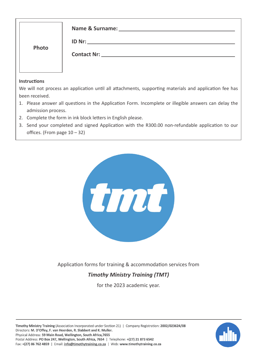| Photo               | Name & Surname: Name & Surname:<br><b>ID Nr:</b> ______________________<br><b>Contact Nr:</b> The Contact Nr: |
|---------------------|---------------------------------------------------------------------------------------------------------------|
| <b>Instructions</b> |                                                                                                               |
|                     | We will not process an application until all attachments, supporting materials and application fee has        |

- been received.
- 1. Please answer all questions in the Application Form. Incomplete or illegible answers can delay the admission process.
- 2. Complete the form in ink block letters in English please.
- 3. Send your completed and signed Application with the R300.00 non-refundable application to our offices. (From page 10 – 32)



Application forms for training & accommodation services from

### *Timothy Ministry Training (TMT)*

for the 2023 academic year.

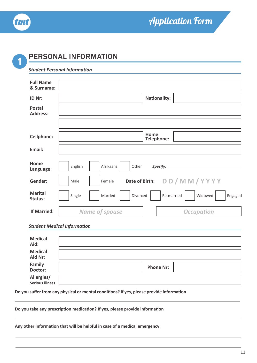

## Application Form

## **1** PERSONAL INFORMATION

#### *Student Personal Information*

| <b>Full Name</b>                 |                                                                   |
|----------------------------------|-------------------------------------------------------------------|
| & Surname:                       |                                                                   |
| ID Nr:                           | <b>Nationality:</b>                                               |
| <b>Postal</b><br><b>Address:</b> |                                                                   |
|                                  |                                                                   |
| <b>Cellphone:</b>                | Home<br>Telephone:                                                |
| Email:                           |                                                                   |
| Home                             |                                                                   |
| Language:                        | English<br>Afrikaans<br>Other                                     |
| Gender:                          | Date of Birth: DD/MM/YYYY<br>Male<br>Female                       |
| <b>Marital</b><br>Status:        | Re-married<br>Widowed<br>Single<br>Married<br>Divorced<br>Engaged |
| <b>If Married:</b>               | <b>Name of spouse</b><br><b>Occupation</b>                        |

#### *Student Medical Information*

| <b>Medical</b><br>Aid:               |                  |
|--------------------------------------|------------------|
| <b>Medical</b><br>Aid Nr:            |                  |
| Family<br>Doctor:                    | <b>Phone Nr:</b> |
| Allergies/<br><b>Serious illness</b> |                  |

#### **Do you suffer from any physical or mental conditions? If yes, please provide information**

#### **Do you take any prescription medication? If yes, please provide information**

**Any other information that will be helpful in case of a medical emergency:**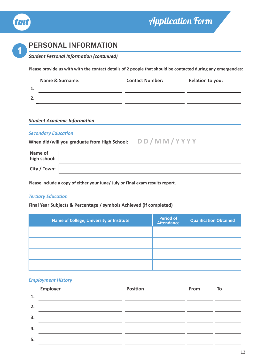

## Application Form

### **1** PERSONAL INFORMATION

*Student Personal Information (continued)*

**Please provide us with with the contact details of 2 people that should be contacted during any emergencies:**

|    | <b>Name &amp; Surname:</b> | <b>Contact Number:</b> | Relation to you: |
|----|----------------------------|------------------------|------------------|
| 1. |                            |                        |                  |
| 2. |                            |                        |                  |

#### *Student Academic Information*

#### *Secondary Education*

**When did/will you graduate from High School: D D / M M / Y Y Y Y**

| Name of<br>high school: |  |
|-------------------------|--|
| City / Town: $\vert$    |  |

**Please include a copy of either your June/ July or Final exam results report.**

#### *Tertiary Education*

#### **Final Year Subjects & Percentage / symbols Achieved (if completed)**

| Name of College, University or Institute | <b>Period of</b><br><b>Attendance</b> | <b>Qualification Obtained</b> |
|------------------------------------------|---------------------------------------|-------------------------------|
|                                          |                                       |                               |
|                                          |                                       |                               |
|                                          |                                       |                               |
|                                          |                                       |                               |

#### *Employment History*

|    | Employer | <b>Position</b> | From | To |
|----|----------|-----------------|------|----|
| 1. |          |                 |      |    |
| 2. |          |                 |      |    |
| 3. |          |                 |      |    |
| 4. |          |                 |      |    |
| 5. |          |                 |      |    |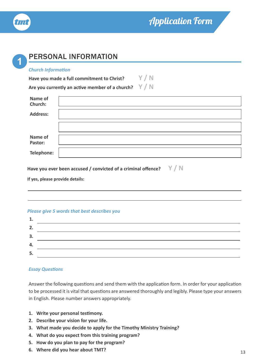

| <b>Church Information</b>       |                                                                       |
|---------------------------------|-----------------------------------------------------------------------|
|                                 | Y/N<br>Have you made a full commitment to Christ?                     |
|                                 | Are you currently an active member of a church? $Y/N$                 |
| Name of<br>Church:              |                                                                       |
| <b>Address:</b>                 |                                                                       |
|                                 |                                                                       |
| Name of<br>Pastor:              |                                                                       |
|                                 |                                                                       |
| Telephone:                      |                                                                       |
| If yes, please provide details: | Have you ever been accused / convicted of a criminal offence? $V / N$ |
|                                 | <b>Please give 5 words that best describes you</b>                    |
| 1.                              |                                                                       |

#### *Essay Questions*

**5.**

Answer the following questions and send them with the application form. In order for your application to be processed it is vital that questions are answered thoroughly and legibly. Please type your answers in English. Please number answers appropriately.

- **1. Write your personal testimony.**
- **2. Describe your vision for your life.**
- **3. What made you decide to apply for the Timothy Ministry Training?**
- **4. What do you expect from this training program?**
- **5. How do you plan to pay for the program?**
- **6. Where did you hear about TMT?**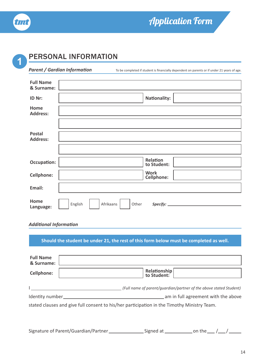

## Application Form

## **1** PERSONAL INFORMATION

*Parent / Gardian Information* To be completed if student is financially dependent on parents or if under 21 years of age.

| <b>Full Name</b><br>& Surname:   |                                  |
|----------------------------------|----------------------------------|
| ID Nr:                           | <b>Nationality:</b>              |
| Home<br><b>Address:</b>          |                                  |
|                                  |                                  |
| <b>Postal</b><br><b>Address:</b> |                                  |
|                                  |                                  |
| <b>Occupation:</b>               | Relation<br>to Student:          |
| <b>Cellphone:</b>                | <b>Work</b><br><b>Cellphone:</b> |
| Email:                           |                                  |
| Home<br>Language:                | English<br>Afrikaans<br>Other    |

#### *Additional Information*

| <b>Full Name</b><br>& Surname: | Should the student be under 21, the rest of this form below must be completed as well.      |
|--------------------------------|---------------------------------------------------------------------------------------------|
| <b>Cellphone:</b>              | Relationship<br>to Student:                                                                 |
|                                | (Full name of parent/quardian/partner of the above stated Student)                          |
| Identity number                | am in full agreement with the above                                                         |
|                                | stated clauses and give full consent to his/her participation in the Timothy Ministry Team. |

| Signature of Parent/Guardian/Partner_ | Signed at | on the $\_\_$ |  |
|---------------------------------------|-----------|---------------|--|
|---------------------------------------|-----------|---------------|--|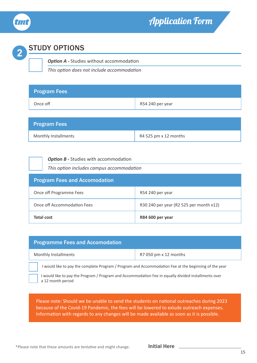

### Application Form

# **2** STUDY OPTIONS

### **Option A - Studies without accommodation**

*This option does not include accommodation*

| <b>Program Fees</b> |                  |
|---------------------|------------------|
| Once off            | R54 240 per year |

| <b>Program Fees</b>         |                       |
|-----------------------------|-----------------------|
| <b>Monthly Installments</b> | R4 525 pm x 12 months |

#### **Option B - Studies with accommodation**

*This option includes campus accommodation*

| <b>Program Fees and Accomodation</b> |                                         |  |  |
|--------------------------------------|-----------------------------------------|--|--|
| Once off Programme Fees              | R54 240 per year                        |  |  |
| Once off Accommodation Fees          | R30 240 per year (R2 525 per month x12) |  |  |
| <b>Total cost</b>                    | R84 600 per year                        |  |  |

| <b>Programme Fees and Accomodation</b>                                                                |  |  |  |
|-------------------------------------------------------------------------------------------------------|--|--|--|
| R7 050 pm x 12 months<br><b>Monthly Installments</b>                                                  |  |  |  |
| I would like to pay the complete Program / Program and Accommodation Fee at the beginning of the year |  |  |  |

I would like to pay the Program / Program and Accommodation Fee in equally divided installments over a 12 month period

Please note: Should we be unable to send the students on national outreaches during 2023 because of the Covid-19 Pandemic, the fees will be lowered to exlude outreach expenses. Information with regards to any changes will be made available as soon as it is possible.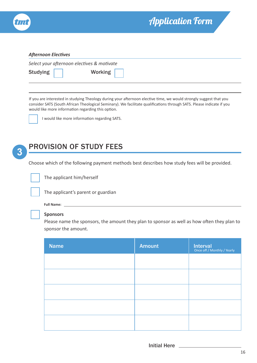

#### *Afternoon Electives*

|          | Select your afternoon electives & motivate |  |  |  |
|----------|--------------------------------------------|--|--|--|
| Studying | Working                                    |  |  |  |

If you are interested in studying Theology during your afternoon elective time, we would strongly suggest that you consider SATS (South African Theological Seminary). We facilitate qualifications through SATS. Please indicate if you would like more information regarding this option.



I would like more information regarding SATS.



## **3** PROVISION OF STUDY FEES

Choose which of the following payment methods best describes how study fees will be provided.



The applicant him/herself



The applicant's parent or guardian



#### **Sponsors**

Please name the sponsors, the amount they plan to sponsor as well as how often they plan to sponsor the amount.

| <b>Name</b> | <b>Amount</b> | <b>Interval</b><br>Once off / Monthly / Yearly |
|-------------|---------------|------------------------------------------------|
|             |               |                                                |
|             |               |                                                |
|             |               |                                                |
|             |               |                                                |
|             |               |                                                |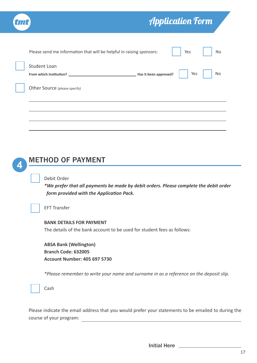| tmt | <b>Application Form</b>                                                     |           |
|-----|-----------------------------------------------------------------------------|-----------|
|     | Please send me information that will be helpful in raising sponsors:<br>Yes | <b>No</b> |
|     | <b>Student Loan</b><br>Yes                                                  | No        |
|     | Other Source (please specify)                                               |           |
|     |                                                                             |           |
|     |                                                                             |           |

### **4** METHOD OF PAYMENT

#### Debit Order

*\*We prefer that all payments be made by debit orders. Please complete the debit order form provided with the Application Pack.*



#### **BANK DETAILS FOR PAYMENT**

The details of the bank account to be used for student fees as follows:

**ABSA Bank (Wellington) Branch Code: 632005 Account Number: 405 697 5730** 

*\*Please remember to write your name and surname in as a reference on the deposit slip.*

Please indicate the email address that you would prefer your statements to be emailed to during the course of your program: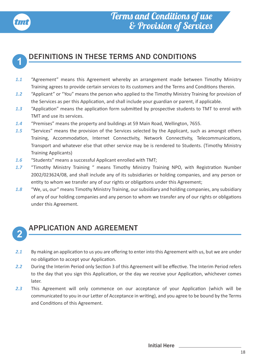



### **1** DEFINITIONS IN THESE TERMS AND CONDITIONS

- *1.1* "Agreement" means this Agreement whereby an arrangement made between Timothy Ministry Training agrees to provide certain services to its customers and the Terms and Conditions therein.
- *1.2* "Applicant" or "You" means the person who applied to the Timothy Ministry Training for provision of the Services as per this Application, and shall include your guardian or parent, if applicable.
- *1.3* "Application" means the application form submitted by prospective students to TMT to enrol with TMT and use its services.
- *1.4* "Premises" means the property and buildings at 59 Main Road, Wellington, 7655.
- *1.5* "Services" means the provision of the Services selected by the Applicant, such as amongst others Training, Accommodation, Internet Connectivity, Network Connectivity, Telecommunications, Transport and whatever else that other service may be is rendered to Students. (Timothy Ministry Training Applicants)
- *1.6* "Students" means a successful Applicant enrolled with TMT;
- *1.7* "Timothy Ministry Training " means Timothy Ministry Training NPO, with Registration Number 2002/023624/08, and shall include any of its subsidiaries or holding companies, and any person or entity to whom we transfer any of our rights or obligations under this Agreement;
- *1.8* "We, us, our" means Timothy Ministry Training, our subsidiary and holding companies, any subsidiary of any of our holding companies and any person to whom we transfer any of our rights or obligations under this Agreement.

## **<sup>2</sup>** APPLICATION AND AGREEMENT

- 2.1 By making an application to us you are offering to enter into this Agreement with us, but we are under no obligation to accept your Application.
- 2.2 During the Interim Period only Section 3 of this Agreement will be effective. The Interim Period refers to the day that you sign this Application, or the day we receive your Application, whichever comes later.
- *2.3* This Agreement will only commence on our acceptance of your Application (which will be communicated to you in our Letter of Acceptance in writing), and you agree to be bound by the Terms and Conditions of this Agreement.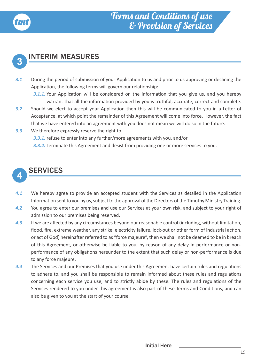



## **3** INTERIM MEASURES

*3.1* During the period of submission of your Application to us and prior to us approving or declining the Application, the following terms will govern our relationship:

**3.1.1.** Your Application will be considered on the information that you give us, and you hereby warrant that all the information provided by you is truthful, accurate, correct and complete.

- *3.2* Should we elect to accept your Application then this will be communicated to you in a Letter of Acceptance, at which point the remainder of this Agreement will come into force. However, the fact that we have entered into an agreement with you does not mean we will do so in the future.
- *3.3* We therefore expressly reserve the right to
	- *3.3.1.* refuse to enter into any further/more agreements with you, and/or
	- *3.3.2.* Terminate this Agreement and desist from providing one or more services to you.

### **4** SERVICES

- *4.1* We hereby agree to provide an accepted student with the Services as detailed in the Application Information sent to you by us, subject to the approval of the Directors of the Timothy Ministry Training.
- *4.2* You agree to enter our premises and use our Services at your own risk, and subject to your right of admission to our premises being reserved.
- *4.3* If we are affected by any circumstances beyond our reasonable control (including, without limitation, flood, fire, extreme weather, any strike, electricity failure, lock-out or other form of industrial action, or act of God) hereinafter referred to as "force majeure", then we shall not be deemed to be in breach of this Agreement, or otherwise be liable to you, by reason of any delay in performance or nonperformance of any obligations hereunder to the extent that such delay or non-performance is due to any force majeure.
- *4.4* The Services and our Premises that you use under this Agreement have certain rules and regulations to adhere to, and you shall be responsible to remain informed about these rules and regulations concerning each service you use, and to strictly abide by these. The rules and regulations of the Services rendered to you under this agreement is also part of these Terms and Conditions, and can also be given to you at the start of your course.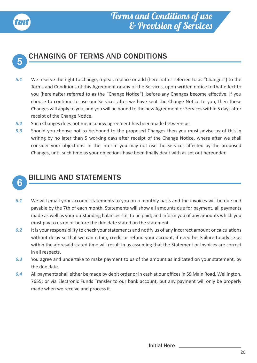



## **5** CHANGING OF TERMS AND CONDITIONS

- *5.1* We reserve the right to change, repeal, replace or add (hereinafter referred to as "Changes") to the Terms and Conditions of this Agreement or any of the Services, upon written notice to that effect to you (hereinafter referred to as the "Change Notice"), before any Changes become effective. If you choose to continue to use our Services after we have sent the Change Notice to you, then those Changes will apply to you, and you will be bound to the new Agreement or Services within 5 days after receipt of the Change Notice.
- *5.2* Such Changes does not mean a new agreement has been made between us.
- *5.3* Should you choose not to be bound to the proposed Changes then you must advise us of this in writing by no later than 5 working days after receipt of the Change Notice, where after we shall consider your objections. In the interim you may not use the Services affected by the proposed Changes, until such time as your objections have been finally dealt with as set out hereunder.



## **6** BILLING AND STATEMENTS

- *6.1* We will email your account statements to you on a monthly basis and the invoices will be due and payable by the 7th of each month. Statements will show all amounts due for payment, all payments made as well as your outstanding balances still to be paid; and inform you of any amounts which you must pay to us on or before the due date stated on the statement.
- *6.2* It is your responsibility to check your statements and notify us of any incorrect amount or calculations without delay so that we can either, credit or refund your account, if need be. Failure to advise us within the aforesaid stated time will result in us assuming that the Statement or Invoices are correct in all respects.
- *6.3* You agree and undertake to make payment to us of the amount as indicated on your statement, by the due date.
- *6.4* All payments shall either be made by debit order or in cash at our offices in 59 Main Road, Wellington, 7655; or via Electronic Funds Transfer to our bank account, but any payment will only be properly made when we receive and process it.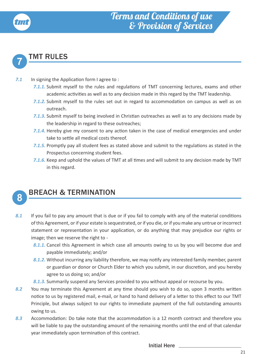

### **7** TMT RULES

- **7.1** In signing the Application form I agree to:
	- **7.1.1.** Submit myself to the rules and regulations of TMT concerning lectures, exams and other academic activities as well as to any decision made in this regard by the TMT leadership.
	- *7.1.2.* Submit myself to the rules set out in regard to accommodation on campus as well as on outreach.
	- *7.1.3.* Submit myself to being involved in Christian outreaches as well as to any decisions made by the leadership in regard to these outreaches;
	- **7.1.4.** Hereby give my consent to any action taken in the case of medical emergencies and under take to settle all medical costs thereof.
	- *7.1.5.* Promptly pay all student fees as stated above and submit to the regulations as stated in the Prospectus concerning student fees.
	- *7.1.6.* Keep and uphold the values of TMT at all times and will submit to any decision made by TMT in this regard.



## 8 BREACH & TERMINATION

- 8.1 If you fail to pay any amount that is due or if you fail to comply with any of the material conditions of this Agreement, or if your estate is sequestrated, or if you die, or if you make any untrue or incorrect statement or representation in your application, or do anything that may prejudice our rights or image; then we reserve the right to -
	- *8.1.1.* Cancel this Agreement in which case all amounts owing to us by you will become due and payable immediately; and/or
	- *8.1.2.* Without incurring any liability therefore, we may notify any interested family member, parent or guardian or donor or Church Elder to which you submit, in our discretion, and you hereby agree to us doing so; and/or
	- *8.1.3.* Summarily suspend any Services provided to you without appeal or recourse by you.
- *8.2* You may terminate this Agreement at any time should you wish to do so, upon 3 months written notice to us by registered mail, e-mail, or hand to hand delivery of a letter to this effect to our TMT Principle, but always subject to our rights to immediate payment of the full outstanding amounts owing to us.
- *8.3* Accommodation: Do take note that the accommodation is a 12 month contract and therefore you will be liable to pay the outstanding amount of the remaining months until the end of that calendar year immediately upon termination of this contract.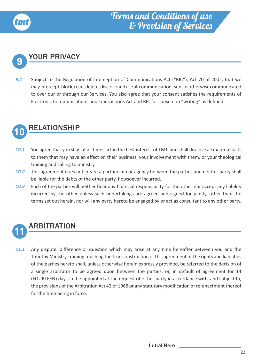

### **9** YOUR PRIVACY

*9.1* Subject to the Regulation of Interception of Communications Act ("RIC"), Act 70 of 2002, that we may intercept, block, read, delete, disclose and use all communications sent or otherwise communicated to over our or through our Services. You also agree that your consent satisfies the requirements of Electronic Communications and Transactions Act and RIC for consent in "writing" as defined.

### **10** RELATIONSHIP

- *10.1* You agree that you shall at all times act in the best interest of TMT, and shall disclose all material facts to them that may have an effect on their business, your involvement with them, or your theological training and calling to ministry.
- *10.2* This agreement does not create a partnership or agency between the parties and neither party shall be liable for the debts of the other party, howsoever incurred.
- *10.3* Each of the parties will neither bear any financial responsibility for the other nor accept any liability incurred by the other unless such undertakings are agreed and signed for jointly, other than the terms set out herein, nor will any party hereto be engaged by or act as consultant to any other party.



### **11** ARBITRATION

*11.1* Any dispute, difference or question which may arise at any time hereafter between you and the Timothy Ministry Training touching the true construction of this agreement or the rights and liabilities of the parties hereto shall, unless otherwise herein expressly provided, be referred to the decision of a single arbitrator to be agreed upon between the parties, or, in default of agreement for 14 (FOURTEEN) days, to be appointed at the request of either party in accordance with, and subject to, the provisions of the Arbitration Act 42 of 1965 or any statutory modification or re-enactment thereof for the time being in force.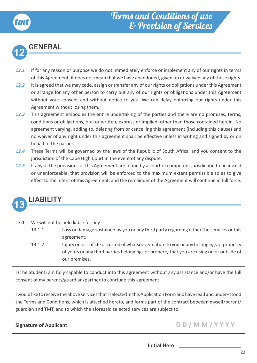### Terms and Conditions of use & Provision of Services



### **12** GENERAL

- 12.1 If for any reason or purpose we do not immediately enforce or implement any of our rights in terms of this Agreement, it does not mean that we have abandoned, given up or waived any of those rights.
- *12.2* It is agreed that we may cede, assign or transfer any of our rights or obligations under this Agreement or arrange for any other person to carry out any of our rights or obligations under this Agreement without your consent and without notice to you. We can delay enforcing our rights under this Agreement without losing them.
- *12.3* This agreement embodies the entire undertaking of the parties and there are no promises, terms, conditions or obligations, oral or written, express or implied, other than those contained herein. No agreement varying, adding to, deleting from or cancelling this agreement (including this clause) and no waiver of any right under this agreement shall be effective unless in writing and signed by or on behalf of the parties.
- *12.4* These Terms will be governed by the laws of the Republic of South Africa, and you consent to the jurisdiction of the Cape High Court in the event of any dispute.
- *12.5* If any of the provisions of this Agreement are found by a court of competent jurisdiction to be invalid or unenforceable, that provision will be enforced to the maximum extent permissible so as to give effect to the intent of this Agreement, and the remainder of the Agreement will continue in full force.



### **13** LIABILITY

- 13.1 We will not be held liable for any
	- 13.1.1. Loss or damage sustained by you or any third party regarding either the services or this agreement.
	- 13.1.2. Injury or loss of life occurred of whatsoever nature to you or any belongings or property of yours or any third parties belongings or property that you are using on or outside of our premises.

I (The Student) am fully capable to conduct into this agreement without any assistance and/or have the full consent of my parents/guardian/partner to conclude this agreement.

I would like to receive the above services that I selected in this Application Form and have read and under¬stood the Terms and Conditions, which is attached hereto, and forms part of the contract between myself/parent/ guardian and TMT, and to which the aforesaid selected services are subject to.

Signature of Applicant **D D / M M / Y Y Y Y**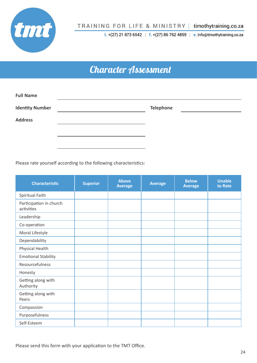

TRAINING FOR LIFE & MINISTRY | timothytraining.co.za

t. +(27) 21 873 6542 | f. +(27) 86 762 4859 | e. info@timothytraining.co.za

### Character Assessment

| <b>Full Name</b>       |                  |
|------------------------|------------------|
| <b>Identity Number</b> | <b>Telephone</b> |
| <b>Address</b>         |                  |
|                        |                  |
|                        |                  |

Please rate yourself according to the following characteristics:

| <b>Characteristic</b>                 | <b>Superior</b> | <b>Above</b><br><b>Average</b> | <b>Average</b> | <b>Below</b><br><b>Average</b> | <b>Unable</b><br>to Rate |
|---------------------------------------|-----------------|--------------------------------|----------------|--------------------------------|--------------------------|
| Spiritual Faith                       |                 |                                |                |                                |                          |
| Participation in church<br>activities |                 |                                |                |                                |                          |
| Leadership                            |                 |                                |                |                                |                          |
| Co-operation                          |                 |                                |                |                                |                          |
| Moral Lifestyle                       |                 |                                |                |                                |                          |
| Dependability                         |                 |                                |                |                                |                          |
| Physical Health                       |                 |                                |                |                                |                          |
| <b>Emotional Stability</b>            |                 |                                |                |                                |                          |
| Resourcefulness                       |                 |                                |                |                                |                          |
| Honesty                               |                 |                                |                |                                |                          |
| Getting along with<br>Authority       |                 |                                |                |                                |                          |
| Getting along with<br>Peers           |                 |                                |                |                                |                          |
| Compassion                            |                 |                                |                |                                |                          |
| Purposefulness                        |                 |                                |                |                                |                          |
| Self-Esteem                           |                 |                                |                |                                |                          |

Please send this form with your application to the TMT Office.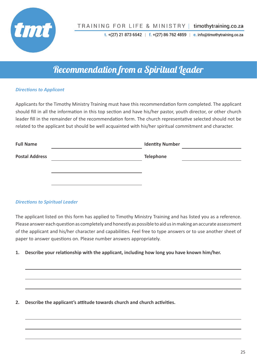

t.  $+(27)$  21 873 6542 | f.  $+(27)$  86 762 4859 | e. info@timothytraining.co.za

### Recommendation from a Spiritual Leader

### *Directions to Applicant*

Applicants for the Timothy Ministry Training must have this recommendation form completed. The applicant should fill in all the information in this top section and have his/her pastor, youth director, or other church leader fill in the remainder of the recommendation form. The church representative selected should not be related to the applicant but should be well acquainted with his/her spiritual commitment and character.

| <b>Full Name</b>      | <b>Identity Number</b> |  |
|-----------------------|------------------------|--|
| <b>Postal Address</b> | <b>Telephone</b>       |  |
|                       |                        |  |
|                       |                        |  |
|                       |                        |  |

#### *Directions to Spiritual Leader*

The applicant listed on this form has applied to Timothy Ministry Training and has listed you as a reference. Please answer each question as completely and honestly as possible to aid us in making an accurate assessment of the applicant and his/her character and capabilities. Feel free to type answers or to use another sheet of paper to answer questions on. Please number answers appropriately.

**1. Describe your relationship with the applicant, including how long you have known him/her.**

**2. Describe the applicant's attitude towards church and church activities.**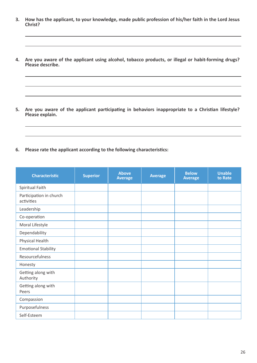- **3. How has the applicant, to your knowledge, made public profession of his/her faith in the Lord Jesus Christ?**
- **4. Are you aware of the applicant using alcohol, tobacco products, or illegal or habit-forming drugs? Please describe.**

**5. Are you aware of the applicant participating in behaviors inappropriate to a Christian lifestyle? Please explain.**

**6. Please rate the applicant according to the following characteristics:**

| <b>Characteristic</b>                 | <b>Superior</b> | <b>Above</b><br><b>Average</b> | <b>Average</b> | <b>Below</b><br><b>Average</b> | <b>Unable</b><br>to Rate |
|---------------------------------------|-----------------|--------------------------------|----------------|--------------------------------|--------------------------|
| Spiritual Faith                       |                 |                                |                |                                |                          |
| Participation in church<br>activities |                 |                                |                |                                |                          |
| Leadership                            |                 |                                |                |                                |                          |
| Co-operation                          |                 |                                |                |                                |                          |
| Moral Lifestyle                       |                 |                                |                |                                |                          |
| Dependability                         |                 |                                |                |                                |                          |
| Physical Health                       |                 |                                |                |                                |                          |
| <b>Emotional Stability</b>            |                 |                                |                |                                |                          |
| Resourcefulness                       |                 |                                |                |                                |                          |
| Honesty                               |                 |                                |                |                                |                          |
| Getting along with<br>Authority       |                 |                                |                |                                |                          |
| Getting along with<br>Peers           |                 |                                |                |                                |                          |
| Compassion                            |                 |                                |                |                                |                          |
| Purposefulness                        |                 |                                |                |                                |                          |
| Self-Esteem                           |                 |                                |                |                                |                          |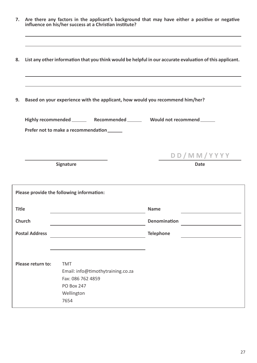| List any other information that you think would be helpful in our accurate evaluation of this applicant.<br>8. |             |
|----------------------------------------------------------------------------------------------------------------|-------------|
|                                                                                                                |             |
| Based on your experience with the applicant, how would you recommend him/her?<br>9.                            |             |
| Highly recommended _________ Recommended ________ Would not recommend ______                                   |             |
| Prefer not to make a recommendation                                                                            |             |
|                                                                                                                |             |
|                                                                                                                | DD/MM/YYYY  |
| Signature                                                                                                      | <b>Date</b> |
|                                                                                                                |             |
| Please provide the following information:                                                                      |             |
| <b>Title</b><br><b>Name</b>                                                                                    |             |
| Church<br>Denomination                                                                                         |             |
| <b>Postal Address</b><br><b>Telephone</b>                                                                      |             |
|                                                                                                                |             |
|                                                                                                                |             |
| Please return to:<br><b>TMT</b><br>Email: info@timothytraining.co.za                                           |             |
| Fax: 086 762 4859                                                                                              |             |
| <b>PO Box 247</b>                                                                                              |             |
| Wellington                                                                                                     |             |
| 7654                                                                                                           |             |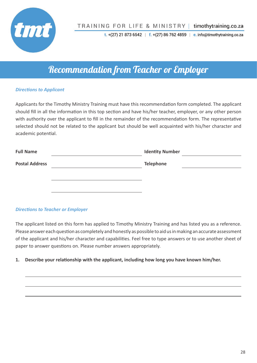

t.  $+(27)$  21 873 6542 | f.  $+(27)$  86 762 4859 | e. info@timothytraining.co.za

### Recommendation from Teacher or Employer

#### *Directions to Applicant*

Applicants for the Timothy Ministry Training must have this recommendation form completed. The applicant should fill in all the information in this top section and have his/her teacher, employer, or any other person with authority over the applicant to fill in the remainder of the recommendation form. The representative selected should not be related to the applicant but should be well acquainted with his/her character and academic potential.

| <b>Full Name</b>      | <b>Identity Number</b> |  |
|-----------------------|------------------------|--|
| <b>Postal Address</b> | <b>Telephone</b>       |  |
|                       |                        |  |
|                       |                        |  |
|                       |                        |  |

#### *Directions to Teacher or Employer*

The applicant listed on this form has applied to Timothy Ministry Training and has listed you as a reference. Please answer each question as completely and honestly as possible to aid us in making an accurate assessment of the applicant and his/her character and capabilities. Feel free to type answers or to use another sheet of paper to answer questions on. Please number answers appropriately.

**1. Describe your relationship with the applicant, including how long you have known him/her.**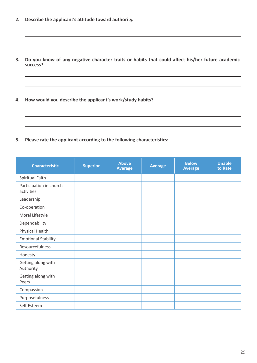- **2. Describe the applicant's attitude toward authority.**
- **3. Do you know of any negative character traits or habits that could affect his/her future academic success?**
- **4. How would you describe the applicant's work/study habits?**
- **5. Please rate the applicant according to the following characteristics:**

| <b>Characteristic</b>                 | <b>Superior</b> | <b>Above</b><br><b>Average</b> | <b>Average</b> | <b>Below</b><br><b>Average</b> | <b>Unable</b><br>to Rate |
|---------------------------------------|-----------------|--------------------------------|----------------|--------------------------------|--------------------------|
| Spiritual Faith                       |                 |                                |                |                                |                          |
| Participation in church<br>activities |                 |                                |                |                                |                          |
| Leadership                            |                 |                                |                |                                |                          |
| Co-operation                          |                 |                                |                |                                |                          |
| Moral Lifestyle                       |                 |                                |                |                                |                          |
| Dependability                         |                 |                                |                |                                |                          |
| Physical Health                       |                 |                                |                |                                |                          |
| <b>Emotional Stability</b>            |                 |                                |                |                                |                          |
| Resourcefulness                       |                 |                                |                |                                |                          |
| Honesty                               |                 |                                |                |                                |                          |
| Getting along with<br>Authority       |                 |                                |                |                                |                          |
| Getting along with<br>Peers           |                 |                                |                |                                |                          |
| Compassion                            |                 |                                |                |                                |                          |
| Purposefulness                        |                 |                                |                |                                |                          |
| Self-Esteem                           |                 |                                |                |                                |                          |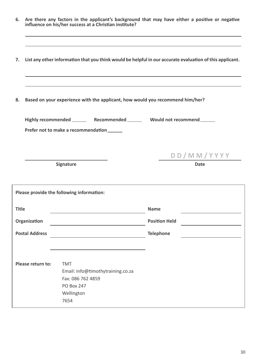|              |                       | influence on his/her success at a Christian institute?                                                              | 6. Are there any factors in the applicant's background that may have either a positive or negative       |
|--------------|-----------------------|---------------------------------------------------------------------------------------------------------------------|----------------------------------------------------------------------------------------------------------|
| 7.           |                       |                                                                                                                     | List any other information that you think would be helpful in our accurate evaluation of this applicant. |
| 8.           |                       | Based on your experience with the applicant, how would you recommend him/her?                                       |                                                                                                          |
|              |                       | Highly recommended _________ Recommended ________ Would not recommend ______<br>Prefer not to make a recommendation |                                                                                                          |
|              |                       | Signature                                                                                                           | DD/MM/YYYY<br><b>Date</b>                                                                                |
|              |                       | Please provide the following information:                                                                           |                                                                                                          |
| <b>Title</b> |                       |                                                                                                                     | <b>Name</b>                                                                                              |
|              | Organization          |                                                                                                                     | <b>Position Held</b>                                                                                     |
|              | <b>Postal Address</b> |                                                                                                                     | <b>Telephone</b>                                                                                         |
|              | Please return to:     | <b>TMT</b><br>Email: info@timothytraining.co.za<br>Fax: 086 762 4859<br><b>PO Box 247</b><br>Wellington<br>7654     |                                                                                                          |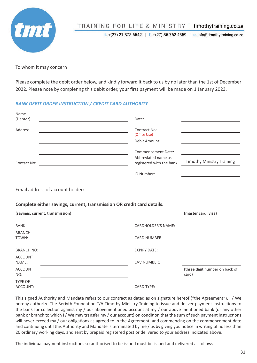

#### TRAINING FOR LIFE & MINISTRY timothytraining.co.za

t. +(27) 21 873 6542 | f. +(27) 86 762 4859 | e. info@timothytraining.co.za

To whom it may concern

Please complete the debit order below, and kindly forward it back to us by no later than the 1st of December 2022. Please note by completing this debit order, your first payment will be made on 1 January 2023.

#### *BANK DEBIT ORDER INSTRUCTION / CREDIT CARD AUTHORITY*

| Name                                                                                  |                                                  |                                         |
|---------------------------------------------------------------------------------------|--------------------------------------------------|-----------------------------------------|
| (Debtor)                                                                              | Date:                                            |                                         |
| Address<br>the control of the control of the control of the control of the control of | Contract No:<br>(Office Use)                     |                                         |
| the control of the control of the control of the control of the control of            | Debit Amount:                                    |                                         |
|                                                                                       | <b>Commencement Date:</b><br>Abbreviated name as | <b>Timothy Ministry Training</b>        |
| Contact No:                                                                           | registered with the bank:                        |                                         |
|                                                                                       | ID Number:                                       |                                         |
| Email address of account holder:                                                      |                                                  |                                         |
| Complete either savings, current, transmission OR credit card details.                |                                                  |                                         |
| (savings, current, transmission)                                                      |                                                  | (master card, visa)                     |
| <b>BANK:</b>                                                                          | <b>CARDHOLDER'S NAME:</b>                        |                                         |
| <b>BRANCH</b><br>TOWN:                                                                | <b>CARD NUMBER:</b>                              |                                         |
| <b>BRANCH NO:</b>                                                                     | <b>EXPIRY DATE:</b>                              |                                         |
| <b>ACCOUNT</b><br>NAME:                                                               | <b>CVV NUMBER:</b>                               |                                         |
| <b>ACCOUNT</b><br>NO:                                                                 |                                                  | (three digit number on back of<br>card) |

This signed Authority and Mandate refers to our contract as dated as on signature hereof ("the Agreement"). I / We hereby authorize The Beriyth Foundation T/A Timothy Ministry Training to issue and deliver payment instructions to the bank for collection against my / our abovementioned account at my / our above mentioned bank (or any other bank or branch to which I / We may transfer my / our account) on condition that the sum of such payment instructions will never exceed my / our obligations as agreed to in the Agreement, and commencing on the commencement date and continuing until this Authority and Mandate is terminated by me / us by giving you notice in writing of no less than 20 ordinary working days, and sent by prepaid registered post or delivered to your address indicated above.

The individual payment instructions so authorised to be issued must be issued and delivered as follows: